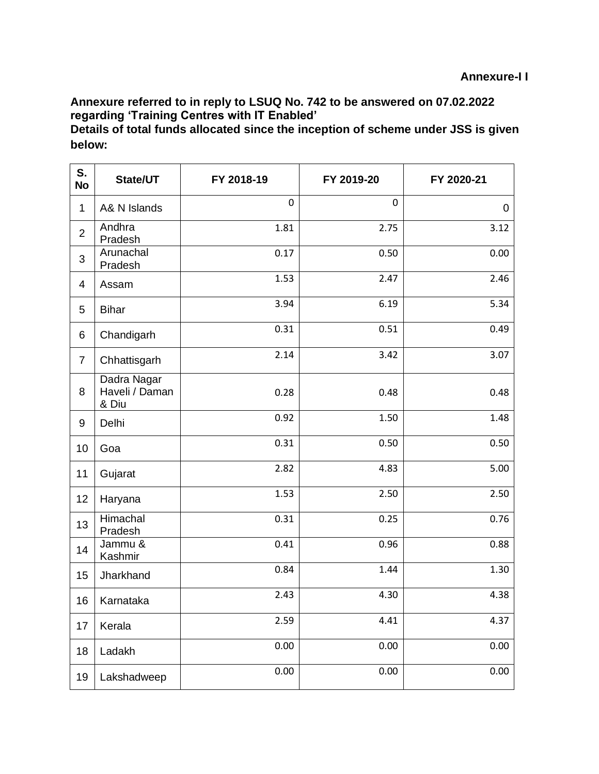## **Annexure referred to in reply to LSUQ No. 742 to be answered on 07.02.2022 regarding 'Training Centres with IT Enabled'**

**Details of total funds allocated since the inception of scheme under JSS is given below:**

| S.<br><b>No</b> | State/UT                               | FY 2018-19 | FY 2019-20  | FY 2020-21 |
|-----------------|----------------------------------------|------------|-------------|------------|
| $\mathbf 1$     | A& N Islands                           | 0          | $\mathbf 0$ | 0          |
| $\overline{2}$  | Andhra<br>Pradesh                      | 1.81       | 2.75        | 3.12       |
| 3               | Arunachal<br>Pradesh                   | 0.17       | 0.50        | 0.00       |
| 4               | Assam                                  | 1.53       | 2.47        | 2.46       |
| 5               | <b>Bihar</b>                           | 3.94       | 6.19        | 5.34       |
| 6               | Chandigarh                             | 0.31       | 0.51        | 0.49       |
| $\overline{7}$  | Chhattisgarh                           | 2.14       | 3.42        | 3.07       |
| 8               | Dadra Nagar<br>Haveli / Daman<br>& Diu | 0.28       | 0.48        | 0.48       |
| 9               | Delhi                                  | 0.92       | 1.50        | 1.48       |
| 10              | Goa                                    | 0.31       | 0.50        | 0.50       |
| 11              | Gujarat                                | 2.82       | 4.83        | 5.00       |
| 12              | Haryana                                | 1.53       | 2.50        | 2.50       |
| 13              | Himachal<br>Pradesh                    | 0.31       | 0.25        | 0.76       |
| 14              | Jammu &<br>Kashmir                     | 0.41       | 0.96        | 0.88       |
| 15              | Jharkhand                              | 0.84       | 1.44        | 1.30       |
| 16              | Karnataka                              | 2.43       | 4.30        | 4.38       |
| 17              | Kerala                                 | 2.59       | 4.41        | 4.37       |
| 18              | Ladakh                                 | 0.00       | 0.00        | 0.00       |
| 19              | Lakshadweep                            | 0.00       | 0.00        | 0.00       |